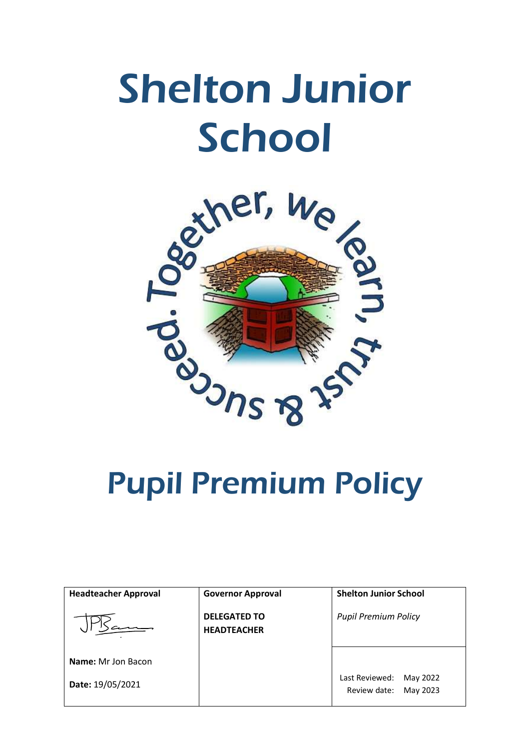# Shelton Junior **School**



| <b>Headteacher Approval</b> | <b>Governor Approval</b>                  | <b>Shelton Junior School</b>                           |
|-----------------------------|-------------------------------------------|--------------------------------------------------------|
|                             | <b>DELEGATED TO</b><br><b>HEADTEACHER</b> | <b>Pupil Premium Policy</b>                            |
| Name: Mr Jon Bacon          |                                           |                                                        |
| Date: 19/05/2021            |                                           | Last Reviewed:<br>May 2022<br>Review date:<br>May 2023 |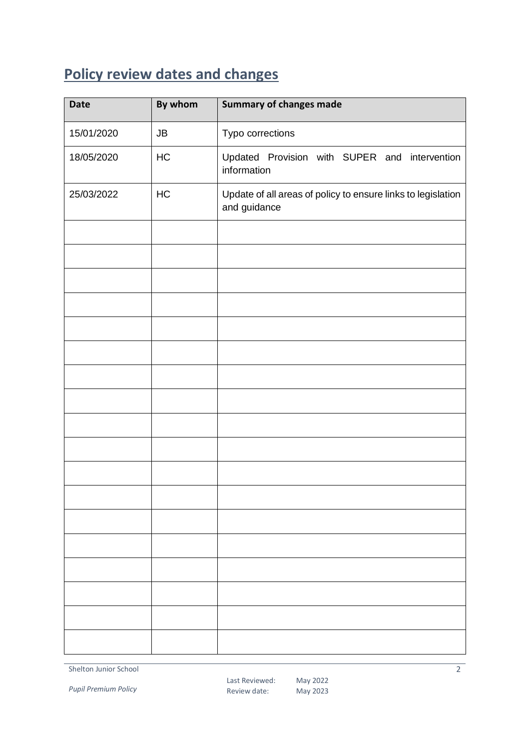## <span id="page-1-0"></span>**Policy review dates and changes**

| <b>Date</b> | By whom | <b>Summary of changes made</b>                                               |
|-------------|---------|------------------------------------------------------------------------------|
| 15/01/2020  | JB      | Typo corrections                                                             |
| 18/05/2020  | HC      | Updated Provision with SUPER and intervention<br>information                 |
| 25/03/2022  | HC      | Update of all areas of policy to ensure links to legislation<br>and guidance |
|             |         |                                                                              |
|             |         |                                                                              |
|             |         |                                                                              |
|             |         |                                                                              |
|             |         |                                                                              |
|             |         |                                                                              |
|             |         |                                                                              |
|             |         |                                                                              |
|             |         |                                                                              |
|             |         |                                                                              |
|             |         |                                                                              |
|             |         |                                                                              |
|             |         |                                                                              |
|             |         |                                                                              |
|             |         |                                                                              |
|             |         |                                                                              |
|             |         |                                                                              |
|             |         |                                                                              |

Shelton Junior School

*Pupil Premium Policy*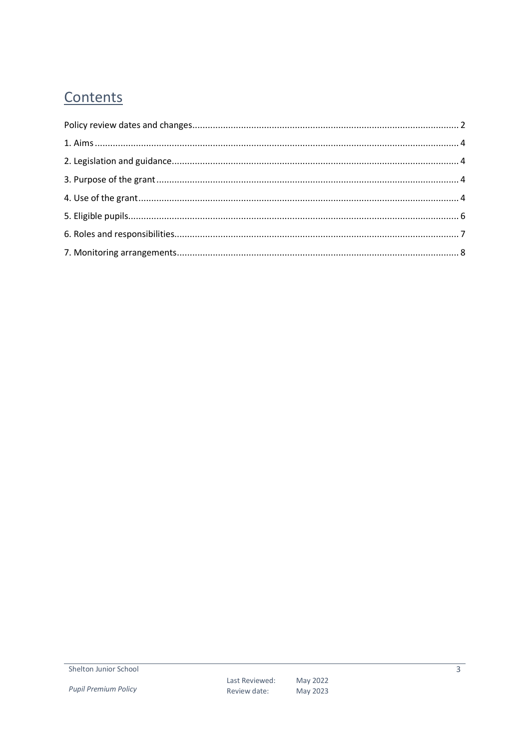## Contents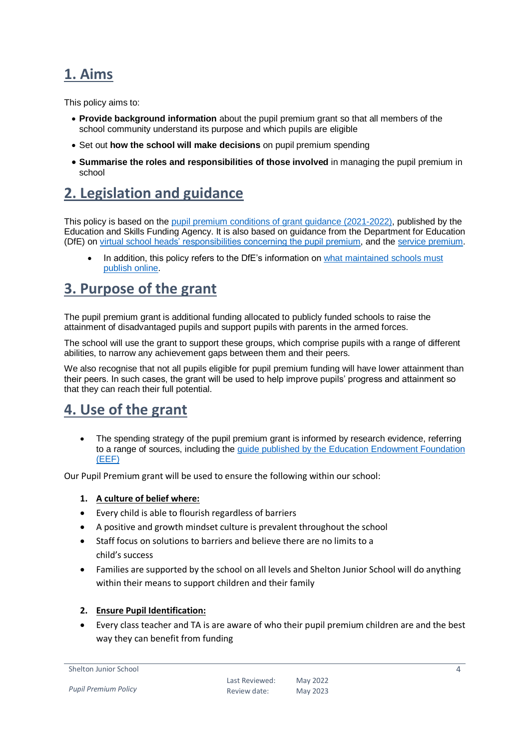## <span id="page-3-0"></span>**1. Aims**

This policy aims to:

- **Provide background information** about the pupil premium grant so that all members of the school community understand its purpose and which pupils are eligible
- Set out **how the school will make decisions** on pupil premium spending
- **Summarise the roles and responsibilities of those involved** in managing the pupil premium in school

## <span id="page-3-1"></span>**2. Legislation and guidance**

This policy is based on the [pupil premium conditions of grant guidance \(2021-2022\),](https://www.gov.uk/government/publications/pupil-premium-allocations-and-conditions-of-grant-2021-to-2022/pupil-premium-conditions-of-grant-2021-to-2022-for-local-authorities) published by the Education and Skills Funding Agency. It is also based on guidance from the Department for Education (DfE) on [virtual school heads' responsibilities concerning the pupil premium,](https://www.gov.uk/guidance/pupil-premium-virtual-school-heads-responsibilities) and th[e service premium.](https://www.gov.uk/guidance/service-premium-information-for-schools)

In addition, this policy refers to the DfE's information on what maintained schools must [publish online.](https://www.gov.uk/guidance/what-maintained-schools-must-publish-online#pupil-premium)

## <span id="page-3-2"></span>**3. Purpose of the grant**

The pupil premium grant is additional funding allocated to publicly funded schools to raise the attainment of disadvantaged pupils and support pupils with parents in the armed forces.

The school will use the grant to support these groups, which comprise pupils with a range of different abilities, to narrow any achievement gaps between them and their peers.

We also recognise that not all pupils eligible for pupil premium funding will have lower attainment than their peers. In such cases, the grant will be used to help improve pupils' progress and attainment so that they can reach their full potential.

## <span id="page-3-3"></span>**4. Use of the grant**

 The spending strategy of the pupil premium grant is informed by research evidence, referring to a range of sources, including the guide [published by the Education Endowment Foundation](https://educationendowmentfoundation.org.uk/evidence-summaries/pupil-premium-guide/)  [\(EEF\)](https://educationendowmentfoundation.org.uk/evidence-summaries/pupil-premium-guide/)

Our Pupil Premium grant will be used to ensure the following within our school:

#### **1. A culture of belief where:**

- Every child is able to flourish regardless of barriers
- A positive and growth mindset culture is prevalent throughout the school
- Staff focus on solutions to barriers and believe there are no limits to a child's success
- Families are supported by the school on all levels and Shelton Junior School will do anything within their means to support children and their family

#### **2. Ensure Pupil Identification:**

 Every class teacher and TA is are aware of who their pupil premium children are and the best way they can benefit from funding

```
Shelton Junior School
```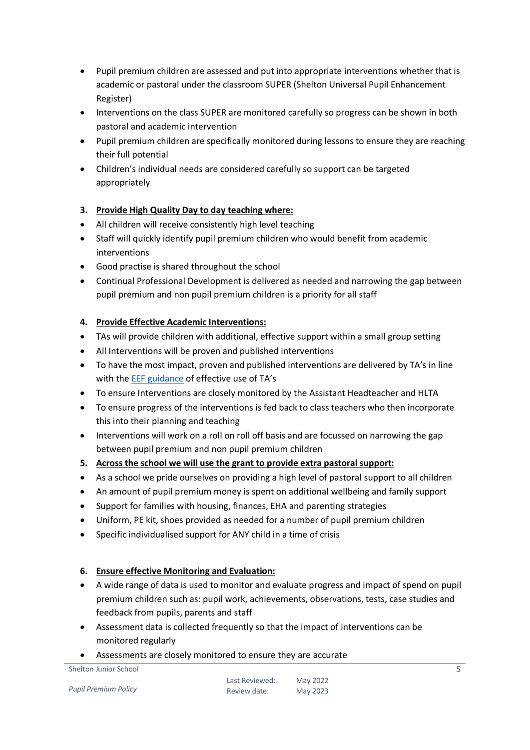- Pupil premium children are assessed and put into appropriate interventions whether that is academic or pastoral under the classroom SUPER (Shelton Universal Pupil Enhancement Register)
- Interventions on the class SUPER are monitored carefully so progress can be shown in both pastoral and academic intervention
- Pupil premium children are specifically monitored during lessons to ensure they are reaching their full potential
- Children's individual needs are considered carefully so support can be targeted appropriately

## **3. Provide High Quality Day to day teaching where:**

- All children will receive consistently high level teaching
- Staff will quickly identify pupil premium children who would benefit from academic interventions
- Good practise is shared throughout the school
- Continual Professional Development is delivered as needed and narrowing the gap between pupil premium and non pupil premium children is a priority for all staff

#### **4. Provide Effective Academic Interventions:**

- TAs will provide children with additional, effective support within a small group setting
- All Interventions will be proven and published interventions
- To have the most impact, proven and published interventions are delivered by TA's in line with the [EEF guidance](https://educationendowmentfoundation.org.uk/evidence-summaries/pupil-premium-guide/#:~:text=The%20EEF%20Guide%20to%20the%20Pupil%20Premium%20aims,take%20a%20tiered%20approach%20to%20Pupil%20Premium%20spending.) of effective use of TA's
- To ensure Interventions are closely monitored by the Assistant Headteacher and HLTA
- To ensure progress of the interventions is fed back to class teachers who then incorporate this into their planning and teaching
- Interventions will work on a roll on roll off basis and are focussed on narrowing the gap between pupil premium and non pupil premium children
- **5. Across the school we will use the grant to provide extra pastoral support:**
- As a school we pride ourselves on providing a high level of pastoral support to all children
- An amount of pupil premium money is spent on additional wellbeing and family support
- Support for families with housing, finances, EHA and parenting strategies
- Uniform, PE kit, shoes provided as needed for a number of pupil premium children
- Specific individualised support for ANY child in a time of crisis

#### **6. Ensure effective Monitoring and Evaluation:**

- A wide range of data is used to monitor and evaluate progress and impact of spend on pupil premium children such as: pupil work, achievements, observations, tests, case studies and feedback from pupils, parents and staff
- Assessment data is collected frequently so that the impact of interventions can be monitored regularly
- Assessments are closely monitored to ensure they are accurate

*Pupil Premium Policy*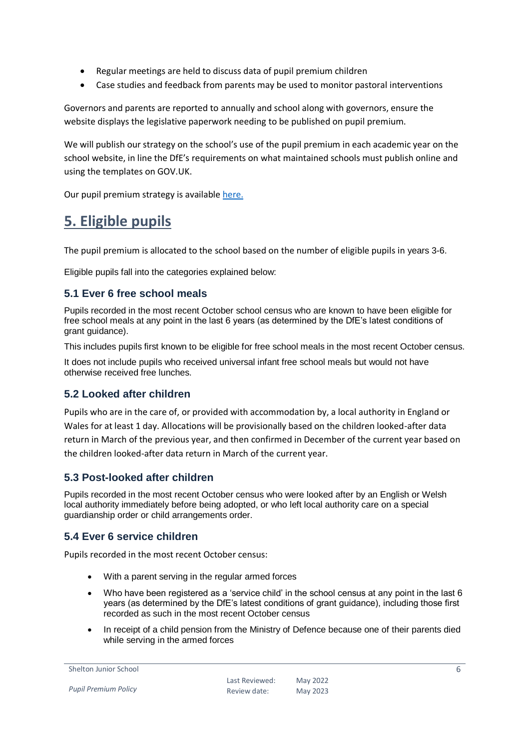- Regular meetings are held to discuss data of pupil premium children
- Case studies and feedback from parents may be used to monitor pastoral interventions

Governors and parents are reported to annually and school along with governors, ensure the website displays the legislative paperwork needing to be published on pupil premium.

We will publish our strategy on the school's use of the pupil premium in each academic year on the school website, in line the DfE's requirements on what maintained schools must publish online and using the templates on GOV.UK.

Our pupil premium strategy is available [here.](https://sheltonj.derby.sch.uk/key-information/pupil-premium/)

## <span id="page-5-0"></span>**5. Eligible pupils**

The pupil premium is allocated to the school based on the number of eligible pupils in years 3-6.

Eligible pupils fall into the categories explained below:

## **5.1 Ever 6 free school meals**

Pupils recorded in the most recent October school census who are known to have been eligible for free school meals at any point in the last 6 years (as determined by the DfE's latest conditions of grant guidance).

This includes pupils first known to be eligible for free school meals in the most recent October census.

It does not include pupils who received universal infant free school meals but would not have otherwise received free lunches.

## **5.2 Looked after children**

Pupils who are in the care of, or provided with accommodation by, a local authority in England or Wales for at least 1 day. Allocations will be provisionally based on the children looked-after data return in March of the previous year, and then confirmed in December of the current year based on the children looked-after data return in March of the current year.

## **5.3 Post-looked after children**

Pupils recorded in the most recent October census who were looked after by an English or Welsh local authority immediately before being adopted, or who left local authority care on a special guardianship order or child arrangements order.

## **5.4 Ever 6 service children**

Pupils recorded in the most recent October census:

- With a parent serving in the regular armed forces
- Who have been registered as a 'service child' in the school census at any point in the last 6 years (as determined by the DfE's latest conditions of grant guidance), including those first recorded as such in the most recent October census
- In receipt of a child pension from the Ministry of Defence because one of their parents died while serving in the armed forces

```
Shelton Junior School
```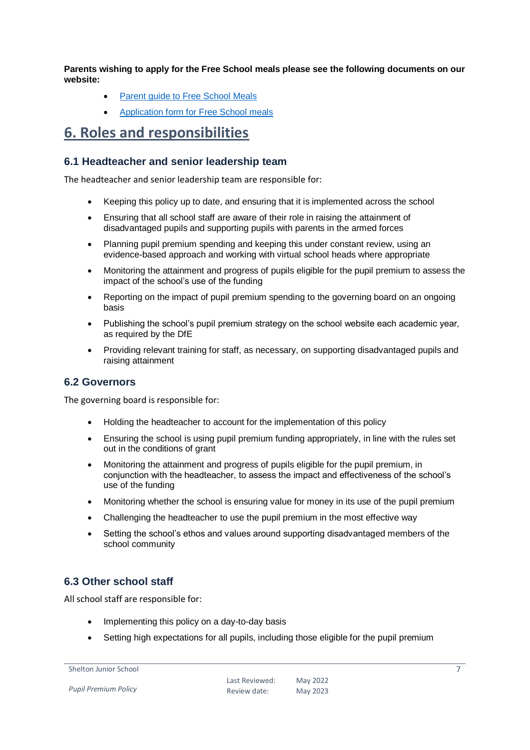**Parents wishing to apply for the Free School meals please see the following documents on our website:**

- [Parent guide to Free School Meals](file:///C:/Users/heatherculling/AppData/Local/Microsoft/Windows/INetCache/Content.Outlook/F2R4G9Z6/•%09https:/sheltonj.derby.sch.uk/wp-content/uploads/2021/04/Parent-guide-to-Free-School-Meals-.pdf)
- [Application form for Free School meals](https://sheltonj.derby.sch.uk/wp-content/uploads/2021/04/APPLICATION-FOR-PUPIL-PREMIUM-FREE-SCHOOL-MEALS-FOR-FULL-TIME-PUPILS.pdf)

## <span id="page-6-0"></span>**6. Roles and responsibilities**

#### **6.1 Headteacher and senior leadership team**

The headteacher and senior leadership team are responsible for:

- Keeping this policy up to date, and ensuring that it is implemented across the school
- Ensuring that all school staff are aware of their role in raising the attainment of disadvantaged pupils and supporting pupils with parents in the armed forces
- Planning pupil premium spending and keeping this under constant review, using an evidence-based approach and working with virtual school heads where appropriate
- Monitoring the attainment and progress of pupils eligible for the pupil premium to assess the impact of the school's use of the funding
- Reporting on the impact of pupil premium spending to the governing board on an ongoing basis
- Publishing the school's pupil premium strategy on the school website each academic year, as required by the DfE
- Providing relevant training for staff, as necessary, on supporting disadvantaged pupils and raising attainment

#### **6.2 Governors**

The governing board is responsible for:

- Holding the headteacher to account for the implementation of this policy
- Ensuring the school is using pupil premium funding appropriately, in line with the rules set out in the conditions of grant
- Monitoring the attainment and progress of pupils eligible for the pupil premium, in conjunction with the headteacher, to assess the impact and effectiveness of the school's use of the funding
- Monitoring whether the school is ensuring value for money in its use of the pupil premium
- Challenging the headteacher to use the pupil premium in the most effective way
- Setting the school's ethos and values around supporting disadvantaged members of the school community

## **6.3 Other school staff**

All school staff are responsible for:

- Implementing this policy on a day-to-day basis
- Setting high expectations for all pupils, including those eligible for the pupil premium

```
Shelton Junior School
```